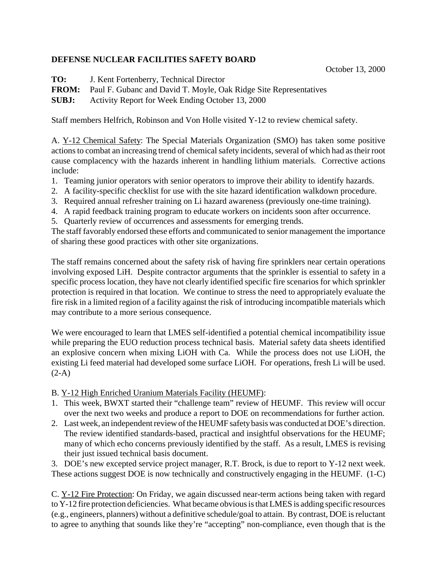## **DEFENSE NUCLEAR FACILITIES SAFETY BOARD**

October 13, 2000

**TO:** J. Kent Fortenberry, Technical Director

**FROM:** Paul F. Gubanc and David T. Moyle, Oak Ridge Site Representatives

**SUBJ:** Activity Report for Week Ending October 13, 2000

Staff members Helfrich, Robinson and Von Holle visited Y-12 to review chemical safety.

A. Y-12 Chemical Safety: The Special Materials Organization (SMO) has taken some positive actions to combat an increasing trend of chemical safety incidents, several of which had as their root cause complacency with the hazards inherent in handling lithium materials. Corrective actions include:

- 1. Teaming junior operators with senior operators to improve their ability to identify hazards.
- 2. A facility-specific checklist for use with the site hazard identification walkdown procedure.
- 3. Required annual refresher training on Li hazard awareness (previously one-time training).
- 4. A rapid feedback training program to educate workers on incidents soon after occurrence.
- 5. Quarterly review of occurrences and assessments for emerging trends.

The staff favorably endorsed these efforts and communicated to senior management the importance of sharing these good practices with other site organizations.

The staff remains concerned about the safety risk of having fire sprinklers near certain operations involving exposed LiH. Despite contractor arguments that the sprinkler is essential to safety in a specific process location, they have not clearly identified specific fire scenarios for which sprinkler protection is required in that location. We continue to stress the need to appropriately evaluate the fire risk in a limited region of a facility against the risk of introducing incompatible materials which may contribute to a more serious consequence.

We were encouraged to learn that LMES self-identified a potential chemical incompatibility issue while preparing the EUO reduction process technical basis. Material safety data sheets identified an explosive concern when mixing LiOH with Ca. While the process does not use LiOH, the existing Li feed material had developed some surface LiOH. For operations, fresh Li will be used.  $(2-A)$ 

B. Y-12 High Enriched Uranium Materials Facility (HEUMF):

- 1. This week, BWXT started their "challenge team" review of HEUMF. This review will occur over the next two weeks and produce a report to DOE on recommendations for further action.
- 2. Last week, an independent review of the HEUMF safety basis was conducted at DOE's direction. The review identified standards-based, practical and insightful observations for the HEUMF; many of which echo concerns previously identified by the staff. As a result, LMES is revising their just issued technical basis document.

3. DOE's new excepted service project manager, R.T. Brock, is due to report to Y-12 next week. These actions suggest DOE is now technically and constructively engaging in the HEUMF. (1-C)

C. Y-12 Fire Protection: On Friday, we again discussed near-term actions being taken with regard to Y-12 fire protection deficiencies. What became obvious is that LMES is adding specific resources (e.g., engineers, planners) without a definitive schedule/goal to attain. By contrast, DOE is reluctant to agree to anything that sounds like they're "accepting" non-compliance, even though that is the